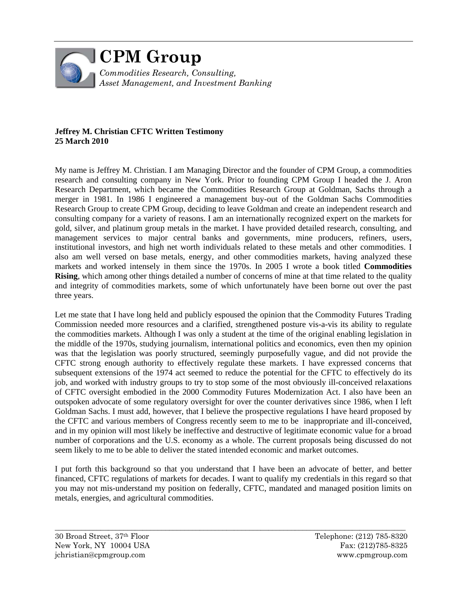

# **Jeffrey M. Christian CFTC Written Testimony 25 March 2010**

My name is Jeffrey M. Christian. I am Managing Director and the founder of CPM Group, a commodities research and consulting company in New York. Prior to founding CPM Group I headed the J. Aron Research Department, which became the Commodities Research Group at Goldman, Sachs through a merger in 1981. In 1986 I engineered a management buy-out of the Goldman Sachs Commodities Research Group to create CPM Group, deciding to leave Goldman and create an independent research and consulting company for a variety of reasons. I am an internationally recognized expert on the markets for gold, silver, and platinum group metals in the market. I have provided detailed research, consulting, and management services to major central banks and governments, mine producers, refiners, users, institutional investors, and high net worth individuals related to these metals and other commodities. I also am well versed on base metals, energy, and other commodities markets, having analyzed these markets and worked intensely in them since the 1970s. In 2005 I wrote a book titled **Commodities Rising**, which among other things detailed a number of concerns of mine at that time related to the quality and integrity of commodities markets, some of which unfortunately have been borne out over the past three years.

Let me state that I have long held and publicly espoused the opinion that the Commodity Futures Trading Commission needed more resources and a clarified, strengthened posture vis-a-vis its ability to regulate the commodities markets. Although I was only a student at the time of the original enabling legislation in the middle of the 1970s, studying journalism, international politics and economics, even then my opinion was that the legislation was poorly structured, seemingly purposefully vague, and did not provide the CFTC strong enough authority to effectively regulate these markets. I have expressed concerns that subsequent extensions of the 1974 act seemed to reduce the potential for the CFTC to effectively do its job, and worked with industry groups to try to stop some of the most obviously ill-conceived relaxations of CFTC oversight embodied in the 2000 Commodity Futures Modernization Act. I also have been an outspoken advocate of some regulatory oversight for over the counter derivatives since 1986, when I left Goldman Sachs. I must add, however, that I believe the prospective regulations I have heard proposed by the CFTC and various members of Congress recently seem to me to be inappropriate and ill-conceived, and in my opinion will most likely be ineffective and destructive of legitimate economic value for a broad number of corporations and the U.S. economy as a whole. The current proposals being discussed do not seem likely to me to be able to deliver the stated intended economic and market outcomes.

I put forth this background so that you understand that I have been an advocate of better, and better financed, CFTC regulations of markets for decades. I want to qualify my credentials in this regard so that you may not mis-understand my position on federally, CFTC, mandated and managed position limits on metals, energies, and agricultural commodities.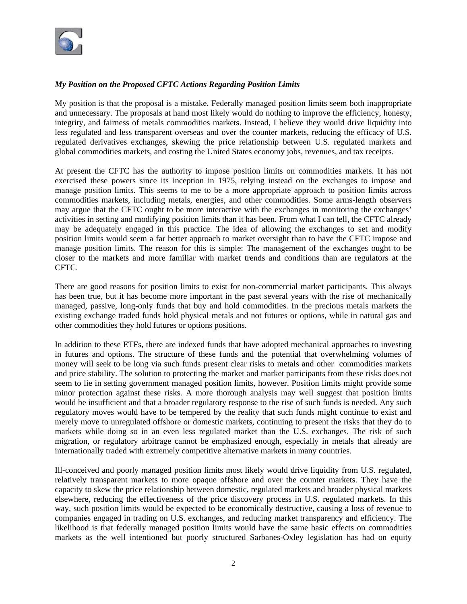

# *My Position on the Proposed CFTC Actions Regarding Position Limits*

My position is that the proposal is a mistake. Federally managed position limits seem both inappropriate and unnecessary. The proposals at hand most likely would do nothing to improve the efficiency, honesty, integrity, and fairness of metals commodities markets. Instead, I believe they would drive liquidity into less regulated and less transparent overseas and over the counter markets, reducing the efficacy of U.S. regulated derivatives exchanges, skewing the price relationship between U.S. regulated markets and global commodities markets, and costing the United States economy jobs, revenues, and tax receipts.

At present the CFTC has the authority to impose position limits on commodities markets. It has not exercised these powers since its inception in 1975, relying instead on the exchanges to impose and manage position limits. This seems to me to be a more appropriate approach to position limits across commodities markets, including metals, energies, and other commodities. Some arms-length observers may argue that the CFTC ought to be more interactive with the exchanges in monitoring the exchanges' activities in setting and modifying position limits than it has been. From what I can tell, the CFTC already may be adequately engaged in this practice. The idea of allowing the exchanges to set and modify position limits would seem a far better approach to market oversight than to have the CFTC impose and manage position limits. The reason for this is simple: The management of the exchanges ought to be closer to the markets and more familiar with market trends and conditions than are regulators at the CFTC.

There are good reasons for position limits to exist for non-commercial market participants. This always has been true, but it has become more important in the past several years with the rise of mechanically managed, passive, long-only funds that buy and hold commodities. In the precious metals markets the existing exchange traded funds hold physical metals and not futures or options, while in natural gas and other commodities they hold futures or options positions.

In addition to these ETFs, there are indexed funds that have adopted mechanical approaches to investing in futures and options. The structure of these funds and the potential that overwhelming volumes of money will seek to be long via such funds present clear risks to metals and other commodities markets and price stability. The solution to protecting the market and market participants from these risks does not seem to lie in setting government managed position limits, however. Position limits might provide some minor protection against these risks. A more thorough analysis may well suggest that position limits would be insufficient and that a broader regulatory response to the rise of such funds is needed. Any such regulatory moves would have to be tempered by the reality that such funds might continue to exist and merely move to unregulated offshore or domestic markets, continuing to present the risks that they do to markets while doing so in an even less regulated market than the U.S. exchanges. The risk of such migration, or regulatory arbitrage cannot be emphasized enough, especially in metals that already are internationally traded with extremely competitive alternative markets in many countries.

Ill-conceived and poorly managed position limits most likely would drive liquidity from U.S. regulated, relatively transparent markets to more opaque offshore and over the counter markets. They have the capacity to skew the price relationship between domestic, regulated markets and broader physical markets elsewhere, reducing the effectiveness of the price discovery process in U.S. regulated markets. In this way, such position limits would be expected to be economically destructive, causing a loss of revenue to companies engaged in trading on U.S. exchanges, and reducing market transparency and efficiency. The likelihood is that federally managed position limits would have the same basic effects on commodities markets as the well intentioned but poorly structured Sarbanes-Oxley legislation has had on equity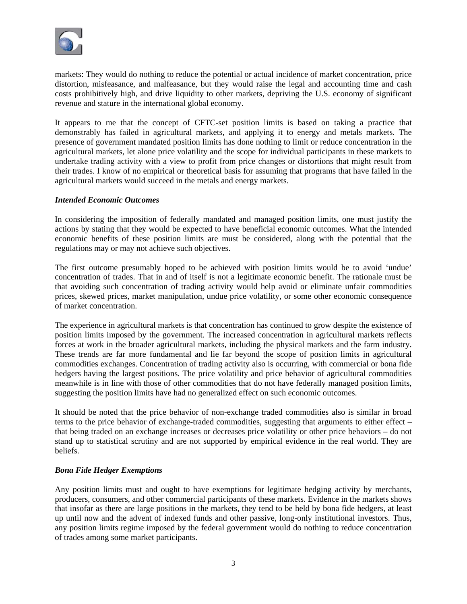

markets: They would do nothing to reduce the potential or actual incidence of market concentration, price distortion, misfeasance, and malfeasance, but they would raise the legal and accounting time and cash costs prohibitively high, and drive liquidity to other markets, depriving the U.S. economy of significant revenue and stature in the international global economy.

It appears to me that the concept of CFTC-set position limits is based on taking a practice that demonstrably has failed in agricultural markets, and applying it to energy and metals markets. The presence of government mandated position limits has done nothing to limit or reduce concentration in the agricultural markets, let alone price volatility and the scope for individual participants in these markets to undertake trading activity with a view to profit from price changes or distortions that might result from their trades. I know of no empirical or theoretical basis for assuming that programs that have failed in the agricultural markets would succeed in the metals and energy markets.

#### *Intended Economic Outcomes*

In considering the imposition of federally mandated and managed position limits, one must justify the actions by stating that they would be expected to have beneficial economic outcomes. What the intended economic benefits of these position limits are must be considered, along with the potential that the regulations may or may not achieve such objectives.

The first outcome presumably hoped to be achieved with position limits would be to avoid 'undue' concentration of trades. That in and of itself is not a legitimate economic benefit. The rationale must be that avoiding such concentration of trading activity would help avoid or eliminate unfair commodities prices, skewed prices, market manipulation, undue price volatility, or some other economic consequence of market concentration.

The experience in agricultural markets is that concentration has continued to grow despite the existence of position limits imposed by the government. The increased concentration in agricultural markets reflects forces at work in the broader agricultural markets, including the physical markets and the farm industry. These trends are far more fundamental and lie far beyond the scope of position limits in agricultural commodities exchanges. Concentration of trading activity also is occurring, with commercial or bona fide hedgers having the largest positions. The price volatility and price behavior of agricultural commodities meanwhile is in line with those of other commodities that do not have federally managed position limits, suggesting the position limits have had no generalized effect on such economic outcomes.

It should be noted that the price behavior of non-exchange traded commodities also is similar in broad terms to the price behavior of exchange-traded commodities, suggesting that arguments to either effect – that being traded on an exchange increases or decreases price volatility or other price behaviors – do not stand up to statistical scrutiny and are not supported by empirical evidence in the real world. They are beliefs.

### *Bona Fide Hedger Exemptions*

Any position limits must and ought to have exemptions for legitimate hedging activity by merchants, producers, consumers, and other commercial participants of these markets. Evidence in the markets shows that insofar as there are large positions in the markets, they tend to be held by bona fide hedgers, at least up until now and the advent of indexed funds and other passive, long-only institutional investors. Thus, any position limits regime imposed by the federal government would do nothing to reduce concentration of trades among some market participants.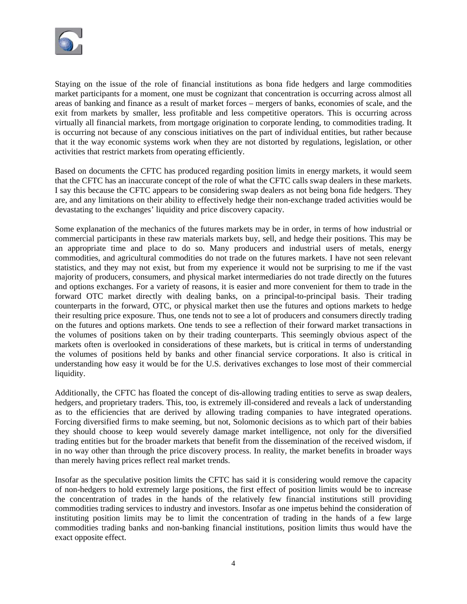

Staying on the issue of the role of financial institutions as bona fide hedgers and large commodities market participants for a moment, one must be cognizant that concentration is occurring across almost all areas of banking and finance as a result of market forces – mergers of banks, economies of scale, and the exit from markets by smaller, less profitable and less competitive operators. This is occurring across virtually all financial markets, from mortgage origination to corporate lending, to commodities trading. It is occurring not because of any conscious initiatives on the part of individual entities, but rather because that it the way economic systems work when they are not distorted by regulations, legislation, or other activities that restrict markets from operating efficiently.

Based on documents the CFTC has produced regarding position limits in energy markets, it would seem that the CFTC has an inaccurate concept of the role of what the CFTC calls swap dealers in these markets. I say this because the CFTC appears to be considering swap dealers as not being bona fide hedgers. They are, and any limitations on their ability to effectively hedge their non-exchange traded activities would be devastating to the exchanges' liquidity and price discovery capacity.

Some explanation of the mechanics of the futures markets may be in order, in terms of how industrial or commercial participants in these raw materials markets buy, sell, and hedge their positions. This may be an appropriate time and place to do so. Many producers and industrial users of metals, energy commodities, and agricultural commodities do not trade on the futures markets. I have not seen relevant statistics, and they may not exist, but from my experience it would not be surprising to me if the vast majority of producers, consumers, and physical market intermediaries do not trade directly on the futures and options exchanges. For a variety of reasons, it is easier and more convenient for them to trade in the forward OTC market directly with dealing banks, on a principal-to-principal basis. Their trading counterparts in the forward, OTC, or physical market then use the futures and options markets to hedge their resulting price exposure. Thus, one tends not to see a lot of producers and consumers directly trading on the futures and options markets. One tends to see a reflection of their forward market transactions in the volumes of positions taken on by their trading counterparts. This seemingly obvious aspect of the markets often is overlooked in considerations of these markets, but is critical in terms of understanding the volumes of positions held by banks and other financial service corporations. It also is critical in understanding how easy it would be for the U.S. derivatives exchanges to lose most of their commercial liquidity.

Additionally, the CFTC has floated the concept of dis-allowing trading entities to serve as swap dealers, hedgers, and proprietary traders. This, too, is extremely ill-considered and reveals a lack of understanding as to the efficiencies that are derived by allowing trading companies to have integrated operations. Forcing diversified firms to make seeming, but not, Solomonic decisions as to which part of their babies they should choose to keep would severely damage market intelligence, not only for the diversified trading entities but for the broader markets that benefit from the dissemination of the received wisdom, if in no way other than through the price discovery process. In reality, the market benefits in broader ways than merely having prices reflect real market trends.

Insofar as the speculative position limits the CFTC has said it is considering would remove the capacity of non-hedgers to hold extremely large positions, the first effect of position limits would be to increase the concentration of trades in the hands of the relatively few financial institutions still providing commodities trading services to industry and investors. Insofar as one impetus behind the consideration of instituting position limits may be to limit the concentration of trading in the hands of a few large commodities trading banks and non-banking financial institutions, position limits thus would have the exact opposite effect.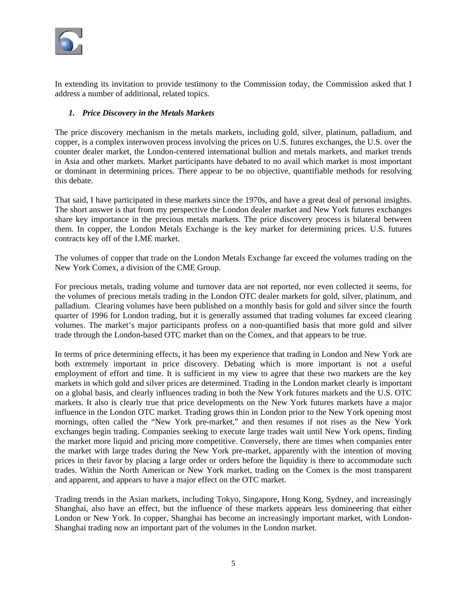

In extending its invitation to provide testimony to the Commission today, the Commission asked that I address a number of additional, related topics.

### *1. Price Discovery in the Metals Markets*

The price discovery mechanism in the metals markets, including gold, silver, platinum, palladium, and copper, is a complex interwoven process involving the prices on U.S. futures exchanges, the U.S. over the counter dealer market, the London-centered international bullion and metals markets, and market trends in Asia and other markets. Market participants have debated to no avail which market is most important or dominant in determining prices. There appear to be no objective, quantifiable methods for resolving this debate.

That said, I have participated in these markets since the 1970s, and have a great deal of personal insights. The short answer is that from my perspective the London dealer market and New York futures exchanges share key importance in the precious metals markets. The price discovery process is bilateral between them. In copper, the London Metals Exchange is the key market for determining prices. U.S. futures contracts key off of the LME market.

The volumes of copper that trade on the London Metals Exchange far exceed the volumes trading on the New York Comex, a division of the CME Group.

For precious metals, trading volume and turnover data are not reported, nor even collected it seems, for the volumes of precious metals trading in the London OTC dealer markets for gold, silver, platinum, and palladium. Clearing volumes have been published on a monthly basis for gold and silver since the fourth quarter of 1996 for London trading, but it is generally assumed that trading volumes far exceed clearing volumes. The market's major participants profess on a non-quantified basis that more gold and silver trade through the London-based OTC market than on the Comex, and that appears to be true.

In terms of price determining effects, it has been my experience that trading in London and New York are both extremely important in price discovery. Debating which is more important is not a useful employment of effort and time. It is sufficient in my view to agree that these two markets are the key markets in which gold and silver prices are determined. Trading in the London market clearly is important on a global basis, and clearly influences trading in both the New York futures markets and the U.S. OTC markets. It also is clearly true that price developments on the New York futures markets have a major influence in the London OTC market. Trading grows thin in London prior to the New York opening most mornings, often called the "New York pre-market," and then resumes if not rises as the New York exchanges begin trading. Companies seeking to execute large trades wait until New York opens, finding the market more liquid and pricing more competitive. Conversely, there are times when companies enter the market with large trades during the New York pre-market, apparently with the intention of moving prices in their favor by placing a large order or orders before the liquidity is there to accommodate such trades. Within the North American or New York market, trading on the Comex is the most transparent and apparent, and appears to have a major effect on the OTC market.

Trading trends in the Asian markets, including Tokyo, Singapore, Hong Kong, Sydney, and increasingly Shanghai, also have an effect, but the influence of these markets appears less domineering that either London or New York. In copper, Shanghai has become an increasingly important market, with London-Shanghai trading now an important part of the volumes in the London market.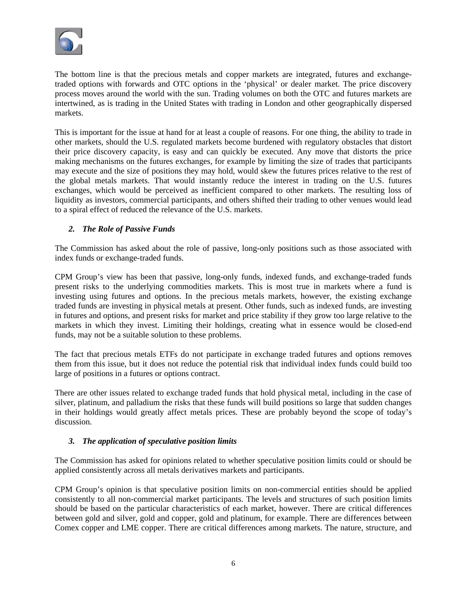

The bottom line is that the precious metals and copper markets are integrated, futures and exchangetraded options with forwards and OTC options in the 'physical' or dealer market. The price discovery process moves around the world with the sun. Trading volumes on both the OTC and futures markets are intertwined, as is trading in the United States with trading in London and other geographically dispersed markets.

This is important for the issue at hand for at least a couple of reasons. For one thing, the ability to trade in other markets, should the U.S. regulated markets become burdened with regulatory obstacles that distort their price discovery capacity, is easy and can quickly be executed. Any move that distorts the price making mechanisms on the futures exchanges, for example by limiting the size of trades that participants may execute and the size of positions they may hold, would skew the futures prices relative to the rest of the global metals markets. That would instantly reduce the interest in trading on the U.S. futures exchanges, which would be perceived as inefficient compared to other markets. The resulting loss of liquidity as investors, commercial participants, and others shifted their trading to other venues would lead to a spiral effect of reduced the relevance of the U.S. markets.

# *2. The Role of Passive Funds*

The Commission has asked about the role of passive, long-only positions such as those associated with index funds or exchange-traded funds.

CPM Group's view has been that passive, long-only funds, indexed funds, and exchange-traded funds present risks to the underlying commodities markets. This is most true in markets where a fund is investing using futures and options. In the precious metals markets, however, the existing exchange traded funds are investing in physical metals at present. Other funds, such as indexed funds, are investing in futures and options, and present risks for market and price stability if they grow too large relative to the markets in which they invest. Limiting their holdings, creating what in essence would be closed-end funds, may not be a suitable solution to these problems.

The fact that precious metals ETFs do not participate in exchange traded futures and options removes them from this issue, but it does not reduce the potential risk that individual index funds could build too large of positions in a futures or options contract.

There are other issues related to exchange traded funds that hold physical metal, including in the case of silver, platinum, and palladium the risks that these funds will build positions so large that sudden changes in their holdings would greatly affect metals prices. These are probably beyond the scope of today's discussion.

# *3. The application of speculative position limits*

The Commission has asked for opinions related to whether speculative position limits could or should be applied consistently across all metals derivatives markets and participants.

CPM Group's opinion is that speculative position limits on non-commercial entities should be applied consistently to all non-commercial market participants. The levels and structures of such position limits should be based on the particular characteristics of each market, however. There are critical differences between gold and silver, gold and copper, gold and platinum, for example. There are differences between Comex copper and LME copper. There are critical differences among markets. The nature, structure, and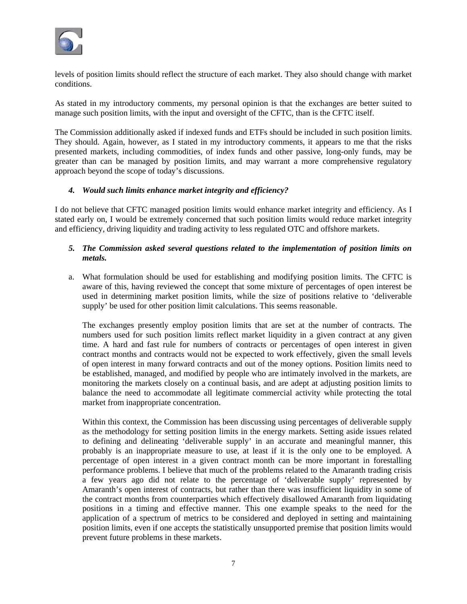

levels of position limits should reflect the structure of each market. They also should change with market conditions.

As stated in my introductory comments, my personal opinion is that the exchanges are better suited to manage such position limits, with the input and oversight of the CFTC, than is the CFTC itself.

The Commission additionally asked if indexed funds and ETFs should be included in such position limits. They should. Again, however, as I stated in my introductory comments, it appears to me that the risks presented markets, including commodities, of index funds and other passive, long-only funds, may be greater than can be managed by position limits, and may warrant a more comprehensive regulatory approach beyond the scope of today's discussions.

#### *4. Would such limits enhance market integrity and efficiency?*

I do not believe that CFTC managed position limits would enhance market integrity and efficiency. As I stated early on, I would be extremely concerned that such position limits would reduce market integrity and efficiency, driving liquidity and trading activity to less regulated OTC and offshore markets.

### *5. The Commission asked several questions related to the implementation of position limits on metals.*

a. What formulation should be used for establishing and modifying position limits. The CFTC is aware of this, having reviewed the concept that some mixture of percentages of open interest be used in determining market position limits, while the size of positions relative to 'deliverable supply' be used for other position limit calculations. This seems reasonable.

The exchanges presently employ position limits that are set at the number of contracts. The numbers used for such position limits reflect market liquidity in a given contract at any given time. A hard and fast rule for numbers of contracts or percentages of open interest in given contract months and contracts would not be expected to work effectively, given the small levels of open interest in many forward contracts and out of the money options. Position limits need to be established, managed, and modified by people who are intimately involved in the markets, are monitoring the markets closely on a continual basis, and are adept at adjusting position limits to balance the need to accommodate all legitimate commercial activity while protecting the total market from inappropriate concentration.

Within this context, the Commission has been discussing using percentages of deliverable supply as the methodology for setting position limits in the energy markets. Setting aside issues related to defining and delineating 'deliverable supply' in an accurate and meaningful manner, this probably is an inappropriate measure to use, at least if it is the only one to be employed. A percentage of open interest in a given contract month can be more important in forestalling performance problems. I believe that much of the problems related to the Amaranth trading crisis a few years ago did not relate to the percentage of 'deliverable supply' represented by Amaranth's open interest of contracts, but rather than there was insufficient liquidity in some of the contract months from counterparties which effectively disallowed Amaranth from liquidating positions in a timing and effective manner. This one example speaks to the need for the application of a spectrum of metrics to be considered and deployed in setting and maintaining position limits, even if one accepts the statistically unsupported premise that position limits would prevent future problems in these markets.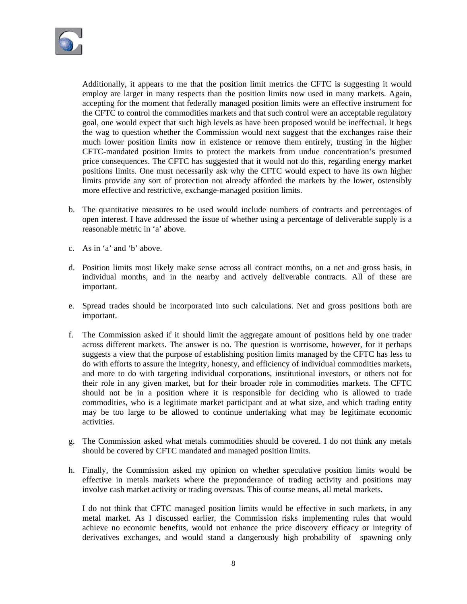

Additionally, it appears to me that the position limit metrics the CFTC is suggesting it would employ are larger in many respects than the position limits now used in many markets. Again, accepting for the moment that federally managed position limits were an effective instrument for the CFTC to control the commodities markets and that such control were an acceptable regulatory goal, one would expect that such high levels as have been proposed would be ineffectual. It begs the wag to question whether the Commission would next suggest that the exchanges raise their much lower position limits now in existence or remove them entirely, trusting in the higher CFTC-mandated position limits to protect the markets from undue concentration's presumed price consequences. The CFTC has suggested that it would not do this, regarding energy market positions limits. One must necessarily ask why the CFTC would expect to have its own higher limits provide any sort of protection not already afforded the markets by the lower, ostensibly more effective and restrictive, exchange-managed position limits.

- b. The quantitative measures to be used would include numbers of contracts and percentages of open interest. I have addressed the issue of whether using a percentage of deliverable supply is a reasonable metric in 'a' above.
- c. As in 'a' and 'b' above.
- d. Position limits most likely make sense across all contract months, on a net and gross basis, in individual months, and in the nearby and actively deliverable contracts. All of these are important.
- e. Spread trades should be incorporated into such calculations. Net and gross positions both are important.
- f. The Commission asked if it should limit the aggregate amount of positions held by one trader across different markets. The answer is no. The question is worrisome, however, for it perhaps suggests a view that the purpose of establishing position limits managed by the CFTC has less to do with efforts to assure the integrity, honesty, and efficiency of individual commodities markets, and more to do with targeting individual corporations, institutional investors, or others not for their role in any given market, but for their broader role in commodities markets. The CFTC should not be in a position where it is responsible for deciding who is allowed to trade commodities, who is a legitimate market participant and at what size, and which trading entity may be too large to be allowed to continue undertaking what may be legitimate economic activities.
- g. The Commission asked what metals commodities should be covered. I do not think any metals should be covered by CFTC mandated and managed position limits.
- h. Finally, the Commission asked my opinion on whether speculative position limits would be effective in metals markets where the preponderance of trading activity and positions may involve cash market activity or trading overseas. This of course means, all metal markets.

I do not think that CFTC managed position limits would be effective in such markets, in any metal market. As I discussed earlier, the Commission risks implementing rules that would achieve no economic benefits, would not enhance the price discovery efficacy or integrity of derivatives exchanges, and would stand a dangerously high probability of spawning only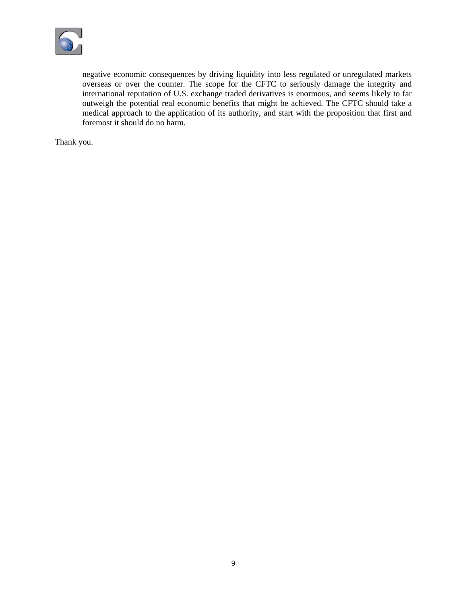

negative economic consequences by driving liquidity into less regulated or unregulated markets overseas or over the counter. The scope for the CFTC to seriously damage the integrity and international reputation of U.S. exchange traded derivatives is enormous, and seems likely to far outweigh the potential real economic benefits that might be achieved. The CFTC should take a medical approach to the application of its authority, and start with the proposition that first and foremost it should do no harm.

Thank you.